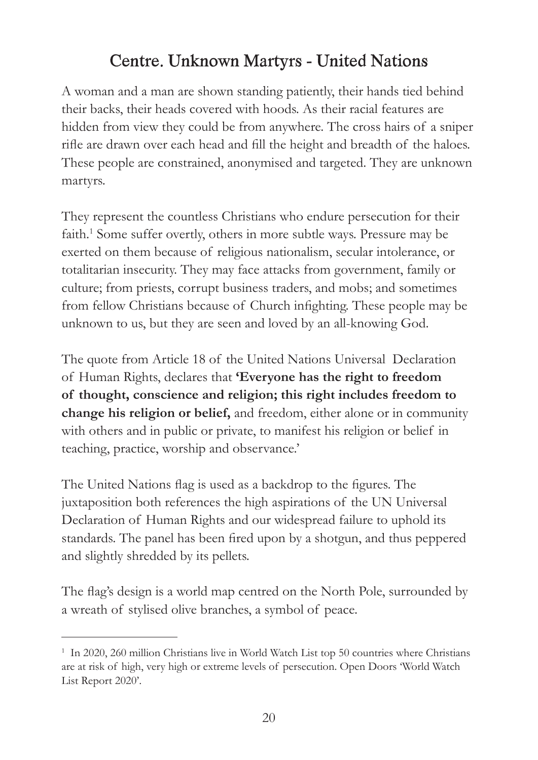## Centre. Unknown Martyrs - United Nations

A woman and a man are shown standing patiently, their hands tied behind their backs, their heads covered with hoods. As their racial features are hidden from view they could be from anywhere. The cross hairs of a sniper rifle are drawn over each head and fill the height and breadth of the haloes. These people are constrained, anonymised and targeted. They are unknown martyrs.

They represent the countless Christians who endure persecution for their faith.<sup>1</sup> Some suffer overtly, others in more subtle ways. Pressure may be exerted on them because of religious nationalism, secular intolerance, or totalitarian insecurity. They may face attacks from government, family or culture; from priests, corrupt business traders, and mobs; and sometimes from fellow Christians because of Church infighting. These people may be unknown to us, but they are seen and loved by an all-knowing God.

The quote from Article 18 of the United Nations Universal Declaration of Human Rights, declares that **'Everyone has the right to freedom of thought, conscience and religion; this right includes freedom to change his religion or belief,** and freedom, either alone or in community with others and in public or private, to manifest his religion or belief in teaching, practice, worship and observance.'

The United Nations flag is used as a backdrop to the figures. The juxtaposition both references the high aspirations of the UN Universal Declaration of Human Rights and our widespread failure to uphold its standards. The panel has been fired upon by a shotgun, and thus peppered and slightly shredded by its pellets.

The flag's design is a world map centred on the North Pole, surrounded by a wreath of stylised olive branches, a symbol of peace.

<sup>&</sup>lt;sup>1</sup> In 2020, 260 million Christians live in World Watch List top 50 countries where Christians are at risk of high, very high or extreme levels of persecution. Open Doors 'World Watch List Report 2020'.